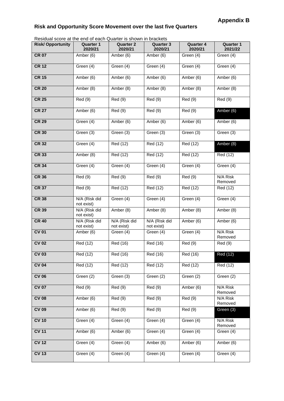## **Risk and Opportunity Score Movement over the last five Quarters**

Residual score at the end of each Quarter is shown in brackets

| Residual score at the end of each Quarter is shown in brackets |                             |                             |                             |                             |                             |
|----------------------------------------------------------------|-----------------------------|-----------------------------|-----------------------------|-----------------------------|-----------------------------|
| <b>Risk/Opportunity</b>                                        | <b>Quarter 1</b><br>2020/21 | <b>Quarter 2</b><br>2020/21 | <b>Quarter 3</b><br>2020/21 | <b>Quarter 4</b><br>2020/21 | <b>Quarter 1</b><br>2021/22 |
| <b>CR 07</b>                                                   | Amber (6)                   | Amber (6)                   | Amber (6)                   | Green (4)                   | Green (4)                   |
| <b>CR 12</b>                                                   | Green (4)                   | Green (4)                   | Green (4)                   | Green (4)                   | Green (4)                   |
| <b>CR 15</b>                                                   | Amber (6)                   | Amber (6)                   | Amber $(6)$                 | Amber (6)                   | Amber (6)                   |
| <b>CR 20</b>                                                   | Amber (8)                   | Amber (8)                   | Amber (8)                   | Amber (8)                   | Amber (8)                   |
| <b>CR 25</b>                                                   | Red(9)                      | Red (9)                     | Red (9)                     | Red(9)                      | Red(9)                      |
| <b>CR 27</b>                                                   | Amber (6)                   | Red(9)                      | Red(9)                      | Red(9)                      | Amber (6)                   |
| <b>CR 29</b>                                                   | Green (4)                   | Amber (6)                   | Amber (6)                   | Amber (6)                   | Amber (6)                   |
| <b>CR 30</b>                                                   | Green (3)                   | Green (3)                   | Green (3)                   | Green (3)                   | Green (3)                   |
| <b>CR 32</b>                                                   | Green (4)                   | Red (12)                    | Red (12)                    | Red (12)                    | Amber (8)                   |
| <b>CR 33</b>                                                   | Amber (8)                   | Red (12)                    | Red (12)                    | Red (12)                    | Red (12)                    |
| <b>CR 34</b>                                                   | Green (4)                   | Green (4)                   | Green (4)                   | Green (4)                   | Green (4)                   |
| <b>CR 36</b>                                                   | Red (9)                     | Red (9)                     | Red(9)                      | Red(9)                      | N/A Risk<br>Removed         |
| <b>CR 37</b>                                                   | <b>Red (9)</b>              | Red (12)                    | Red (12)                    | Red (12)                    | Red (12)                    |
| <b>CR 38</b>                                                   | N/A (Risk did<br>not exist) | Green (4)                   | Green (4)                   | Green $(4)$                 | Green (4)                   |
| <b>CR 39</b>                                                   | N/A (Risk did<br>not exist) | Amber (8)                   | Amber $(8)$                 | Amber (8)                   | Amber (8)                   |
| <b>CR 40</b>                                                   | N/A (Risk did<br>not exist) | N/A (Risk did<br>not exist) | N/A (Risk did<br>not exist) | Amber (6)                   | Amber (6)                   |
| <b>CV 01</b>                                                   | Amber (6)                   | Green (4)                   | Green (4)                   | Green (4)                   | N/A Risk<br>Removed         |
| <b>CV 02</b>                                                   | Red (12)                    | Red (16)                    | Red (16)                    | Red (9)                     | Red (9)                     |
| CV 03                                                          | Red (12)                    | Red (16)                    | Red (16)                    | Red (16)                    | Red (12)                    |
| <b>CV 04</b>                                                   | Red (12)                    | Red (12)                    | Red (12)                    | Red (12)                    | Red (12)                    |
| <b>CV 06</b>                                                   | Green (2)                   | Green (3)                   | Green (2)                   | Green (2)                   | Green (2)                   |
| <b>CV 07</b>                                                   | Red(9)                      | Red(9)                      | Red(9)                      | Amber (6)                   | N/A Risk<br>Removed         |
| <b>CV 08</b>                                                   | Amber (6)                   | <b>Red</b> (9)              | Red (9)                     | <b>Red</b> (9)              | N/A Risk<br>Removed         |
| <b>CV 09</b>                                                   | Amber (6)                   | Red (9)                     | Red (9)                     | Red(9)                      | Green (3)                   |
| <b>CV 10</b>                                                   | Green (4)                   | Green (4)                   | Green (4)                   | Green (4)                   | N/A Risk<br>Removed         |
| <b>CV 11</b>                                                   | Amber (6)                   | Amber (6)                   | Green (4)                   | Green (4)                   | Green (4)                   |
| <b>CV 12</b>                                                   | Green (4)                   | Green (4)                   | Amber (6)                   | Amber (6)                   | Amber (6)                   |
| <b>CV 13</b>                                                   | Green (4)                   | Green (4)                   | Green (4)                   | Green (4)                   | Green (4)                   |